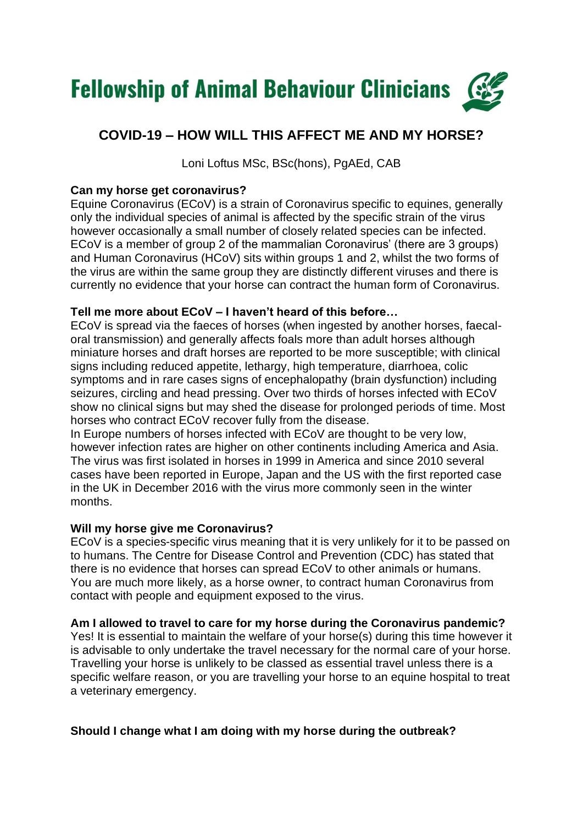

# **COVID-19 – HOW WILL THIS AFFECT ME AND MY HORSE?**

Loni Loftus MSc, BSc(hons), PgAEd, CAB

## **Can my horse get coronavirus?**

Equine Coronavirus (ECoV) is a strain of Coronavirus specific to equines, generally only the individual species of animal is affected by the specific strain of the virus however occasionally a small number of closely related species can be infected. ECoV is a member of group 2 of the mammalian Coronavirus' (there are 3 groups) and Human Coronavirus (HCoV) sits within groups 1 and 2, whilst the two forms of the virus are within the same group they are distinctly different viruses and there is currently no evidence that your horse can contract the human form of Coronavirus.

# **Tell me more about ECoV – I haven't heard of this before…**

ECoV is spread via the faeces of horses (when ingested by another horses, faecaloral transmission) and generally affects foals more than adult horses although miniature horses and draft horses are reported to be more susceptible; with clinical signs including reduced appetite, lethargy, high temperature, diarrhoea, colic symptoms and in rare cases signs of encephalopathy (brain dysfunction) including seizures, circling and head pressing. Over two thirds of horses infected with ECoV show no clinical signs but may shed the disease for prolonged periods of time. Most horses who contract ECoV recover fully from the disease.

In Europe numbers of horses infected with ECoV are thought to be very low, however infection rates are higher on other continents including America and Asia. The virus was first isolated in horses in 1999 in America and since 2010 several cases have been reported in Europe, Japan and the US with the first reported case in the UK in December 2016 with the virus more commonly seen in the winter months.

### **Will my horse give me Coronavirus?**

ECoV is a species-specific virus meaning that it is very unlikely for it to be passed on to humans. The Centre for Disease Control and Prevention (CDC) has stated that there is no evidence that horses can spread ECoV to other animals or humans. You are much more likely, as a horse owner, to contract human Coronavirus from contact with people and equipment exposed to the virus.

### **Am I allowed to travel to care for my horse during the Coronavirus pandemic?**

Yes! It is essential to maintain the welfare of your horse(s) during this time however it is advisable to only undertake the travel necessary for the normal care of your horse. Travelling your horse is unlikely to be classed as essential travel unless there is a specific welfare reason, or you are travelling your horse to an equine hospital to treat a veterinary emergency.

# **Should I change what I am doing with my horse during the outbreak?**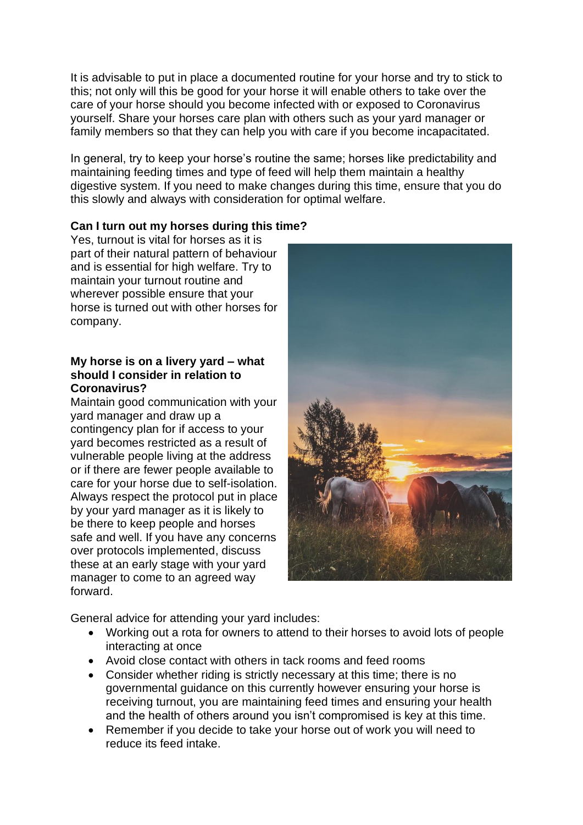It is advisable to put in place a documented routine for your horse and try to stick to this; not only will this be good for your horse it will enable others to take over the care of your horse should you become infected with or exposed to Coronavirus yourself. Share your horses care plan with others such as your yard manager or family members so that they can help you with care if you become incapacitated.

In general, try to keep your horse's routine the same; horses like predictability and maintaining feeding times and type of feed will help them maintain a healthy digestive system. If you need to make changes during this time, ensure that you do this slowly and always with consideration for optimal welfare.

# **Can I turn out my horses during this time?**

Yes, turnout is vital for horses as it is part of their natural pattern of behaviour and is essential for high welfare. Try to maintain your turnout routine and wherever possible ensure that your horse is turned out with other horses for company.

#### **My horse is on a livery yard – what should I consider in relation to Coronavirus?**

Maintain good communication with your yard manager and draw up a contingency plan for if access to your yard becomes restricted as a result of vulnerable people living at the address or if there are fewer people available to care for your horse due to self-isolation. Always respect the protocol put in place by your yard manager as it is likely to be there to keep people and horses safe and well. If you have any concerns over protocols implemented, discuss these at an early stage with your yard manager to come to an agreed way forward.



General advice for attending your yard includes:

- Working out a rota for owners to attend to their horses to avoid lots of people interacting at once
- Avoid close contact with others in tack rooms and feed rooms
- Consider whether riding is strictly necessary at this time; there is no governmental guidance on this currently however ensuring your horse is receiving turnout, you are maintaining feed times and ensuring your health and the health of others around you isn't compromised is key at this time.
- Remember if you decide to take your horse out of work you will need to reduce its feed intake.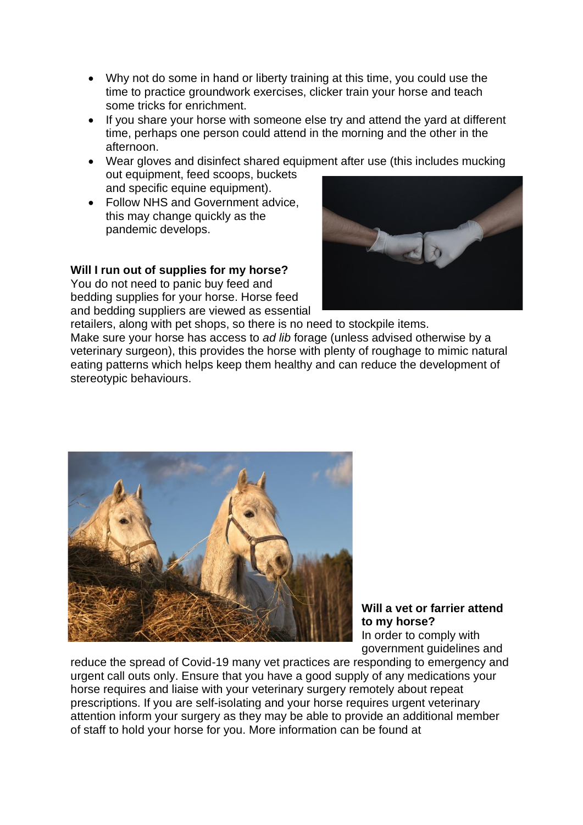- Why not do some in hand or liberty training at this time, you could use the time to practice groundwork exercises, clicker train your horse and teach some tricks for enrichment.
- If you share your horse with someone else try and attend the yard at different time, perhaps one person could attend in the morning and the other in the afternoon.
- Wear gloves and disinfect shared equipment after use (this includes mucking out equipment, feed scoops, buckets and specific equine equipment).
- Follow NHS and Government advice, this may change quickly as the pandemic develops.

### **Will I run out of supplies for my horse?**

You do not need to panic buy feed and bedding supplies for your horse. Horse feed and bedding suppliers are viewed as essential



retailers, along with pet shops, so there is no need to stockpile items. Make sure your horse has access to *ad lib* forage (unless advised otherwise by a veterinary surgeon), this provides the horse with plenty of roughage to mimic natural eating patterns which helps keep them healthy and can reduce the development of stereotypic behaviours.



#### **Will a vet or farrier attend to my horse?** In order to comply with government guidelines and

reduce the spread of Covid-19 many vet practices are responding to emergency and urgent call outs only. Ensure that you have a good supply of any medications your horse requires and liaise with your veterinary surgery remotely about repeat prescriptions. If you are self-isolating and your horse requires urgent veterinary attention inform your surgery as they may be able to provide an additional member of staff to hold your horse for you. More information can be found at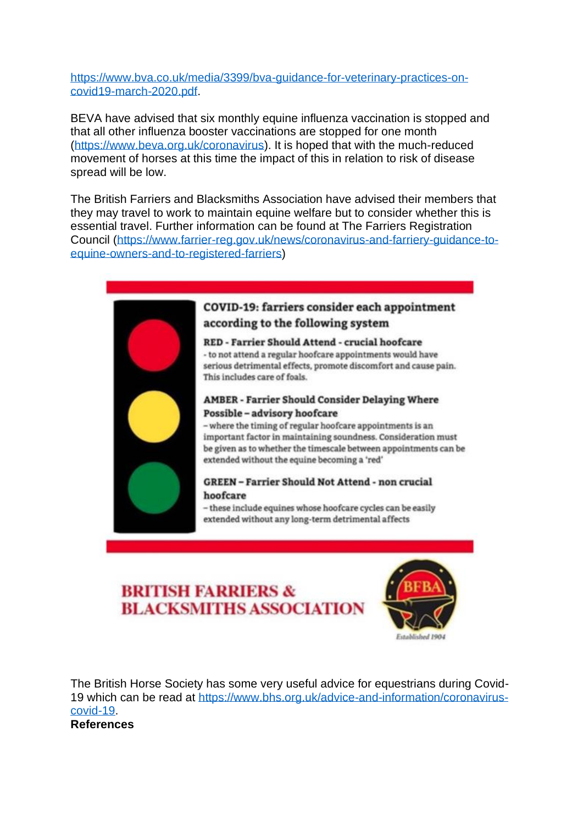[https://www.bva.co.uk/media/3399/bva-guidance-for-veterinary-practices-on](https://www.bva.co.uk/media/3399/bva-guidance-for-veterinary-practices-on-covid19-march-2020.pdf)[covid19-march-2020.pdf.](https://www.bva.co.uk/media/3399/bva-guidance-for-veterinary-practices-on-covid19-march-2020.pdf)

BEVA have advised that six monthly equine influenza vaccination is stopped and that all other influenza booster vaccinations are stopped for one month [\(https://www.beva.org.uk/coronavirus\)](https://www.beva.org.uk/coronavirus). It is hoped that with the much-reduced movement of horses at this time the impact of this in relation to risk of disease spread will be low.

The British Farriers and Blacksmiths Association have advised their members that they may travel to work to maintain equine welfare but to consider whether this is essential travel. Further information can be found at The Farriers Registration Council [\(https://www.farrier-reg.gov.uk/news/coronavirus-and-farriery-guidance-to](https://www.farrier-reg.gov.uk/news/coronavirus-and-farriery-guidance-to-equine-owners-and-to-registered-farriers)[equine-owners-and-to-registered-farriers\)](https://www.farrier-reg.gov.uk/news/coronavirus-and-farriery-guidance-to-equine-owners-and-to-registered-farriers)



# **BRITISH FARRIERS & BLACKSMITHS ASSOCIATION**



The British Horse Society has some very useful advice for equestrians during Covid-19 which can be read at [https://www.bhs.org.uk/advice-and-information/coronavirus](https://www.bhs.org.uk/advice-and-information/coronavirus-covid-19)[covid-19.](https://www.bhs.org.uk/advice-and-information/coronavirus-covid-19) **References**